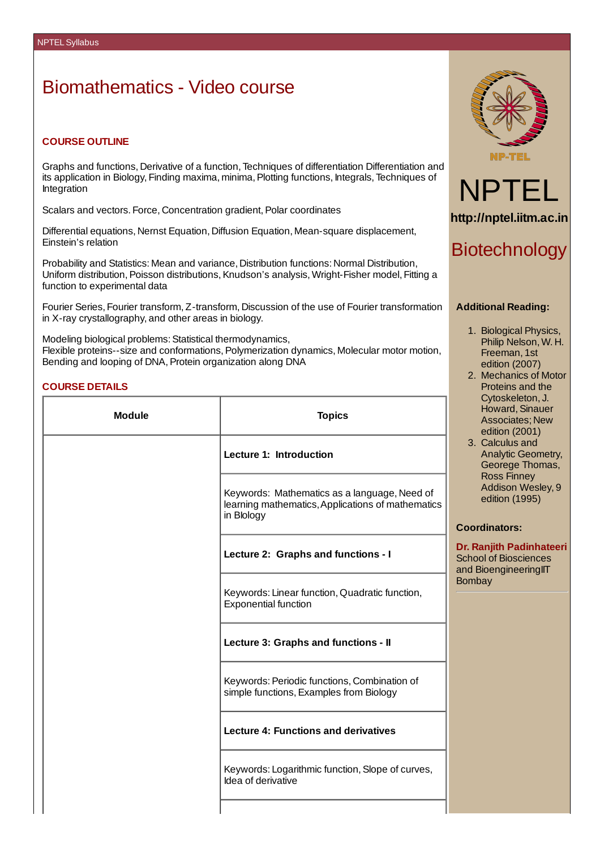# Biomathematics - Video course

## **COURSE OUTLINE**

Graphs and functions, Derivative of a function, Techniques of differentiation Differentiation and its application in Biology, Finding maxima, minima,Plotting functions, Integrals, Techniques of Integration

Scalars and vectors. Force, Concentration gradient, Polar coordinates

Differential equations, Nernst Equation, Diffusion Equation, Mean-square displacement, Einstein's relation

Probability and Statistics: Mean and variance, Distribution functions: Normal Distribution, Uniform distribution, Poisson distributions, Knudson's analysis, Wright-Fisher model, Fitting a function to experimental data

Fourier Series, Fourier transform, Z-transform, Discussion of the use of Fourier transformation in X-ray crystallography, and other areas in biology.

Modeling biological problems: Statistical thermodynamics, Flexible proteins--size and conformations,Polymerization dynamics, Molecular motor motion, Bending and looping of DNA, Protein organization along DNA

## **COURSE DETAILS**

| <b>Module</b> | <b>Topics</b>                                                                                                   |             |
|---------------|-----------------------------------------------------------------------------------------------------------------|-------------|
|               | Lecture 1: Introduction                                                                                         |             |
|               | Keywords: Mathematics as a language, Need of<br>learning mathematics, Applications of mathematics<br>in Blology | C           |
|               | Lecture 2: Graphs and functions - I                                                                             | D<br>S<br>a |
|               | Keywords: Linear function, Quadratic function,<br><b>Exponential function</b>                                   | B           |
|               | Lecture 3: Graphs and functions - II                                                                            |             |
|               | Keywords: Periodic functions, Combination of<br>simple functions, Examples from Biology                         |             |
|               | <b>Lecture 4: Functions and derivatives</b>                                                                     |             |
|               | Keywords: Logarithmic function, Slope of curves,<br>Idea of derivative                                          |             |
|               |                                                                                                                 |             |





# Biotechnology

#### **Additional Reading:**

- 1. Biological Physics, Philip Nelson, W. H. Freeman, 1st edition (2007)
- 2. Mechanics of Motor Proteins and the Cytoskeleton, J. Howard, Sinauer Associates; New edition (2001)
- 3. Calculus and Analytic Geometry, Georege Thomas, Ross Finney Addison Wesley, 9 edition (1995)

### **Coordinators:**

**Dr. Ranjith Padinhateeri** School of Biosciences and BioengineeringIIT **Bombay**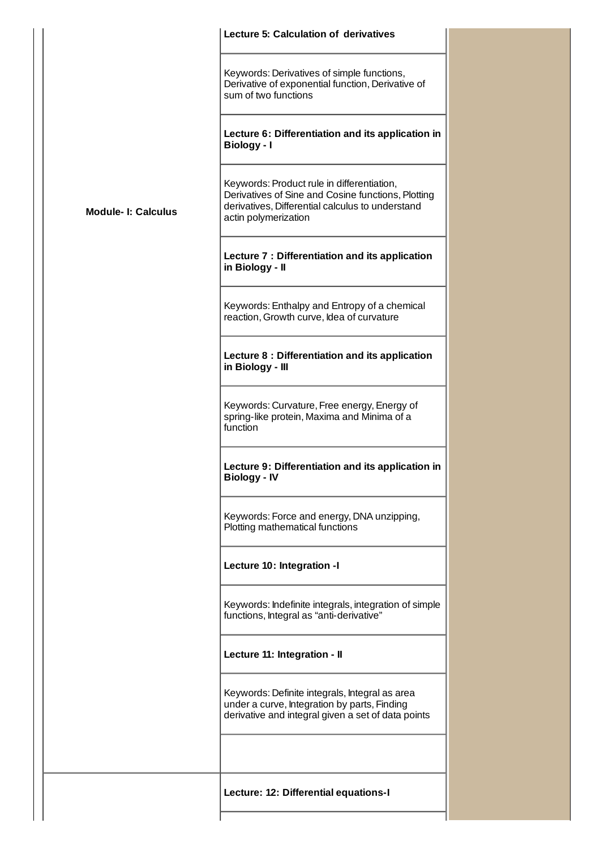|                           | <b>Lecture 5: Calculation of derivatives</b>                                                                                                                                 |
|---------------------------|------------------------------------------------------------------------------------------------------------------------------------------------------------------------------|
|                           | Keywords: Derivatives of simple functions,<br>Derivative of exponential function, Derivative of<br>sum of two functions                                                      |
|                           | Lecture 6: Differentiation and its application in<br>Biology - I                                                                                                             |
| <b>Module-I: Calculus</b> | Keywords: Product rule in differentiation,<br>Derivatives of Sine and Cosine functions, Plotting<br>derivatives, Differential calculus to understand<br>actin polymerization |
|                           | Lecture 7 : Differentiation and its application<br>in Biology - II                                                                                                           |
|                           | Keywords: Enthalpy and Entropy of a chemical<br>reaction, Growth curve, Idea of curvature                                                                                    |
|                           | Lecture 8 : Differentiation and its application<br>in Biology - III                                                                                                          |
|                           | Keywords: Curvature, Free energy, Energy of<br>spring-like protein, Maxima and Minima of a<br>function                                                                       |
|                           | Lecture 9: Differentiation and its application in<br><b>Biology - IV</b>                                                                                                     |
|                           | Keywords: Force and energy, DNA unzipping,<br>Plotting mathematical functions                                                                                                |
|                           | Lecture 10: Integration -I                                                                                                                                                   |
|                           | Keywords: Indefinite integrals, integration of simple<br>functions, Integral as "anti-derivative"                                                                            |
|                           | Lecture 11: Integration - II                                                                                                                                                 |
|                           | Keywords: Definite integrals, Integral as area<br>under a curve, Integration by parts, Finding<br>derivative and integral given a set of data points                         |
|                           |                                                                                                                                                                              |
|                           | Lecture: 12: Differential equations-I                                                                                                                                        |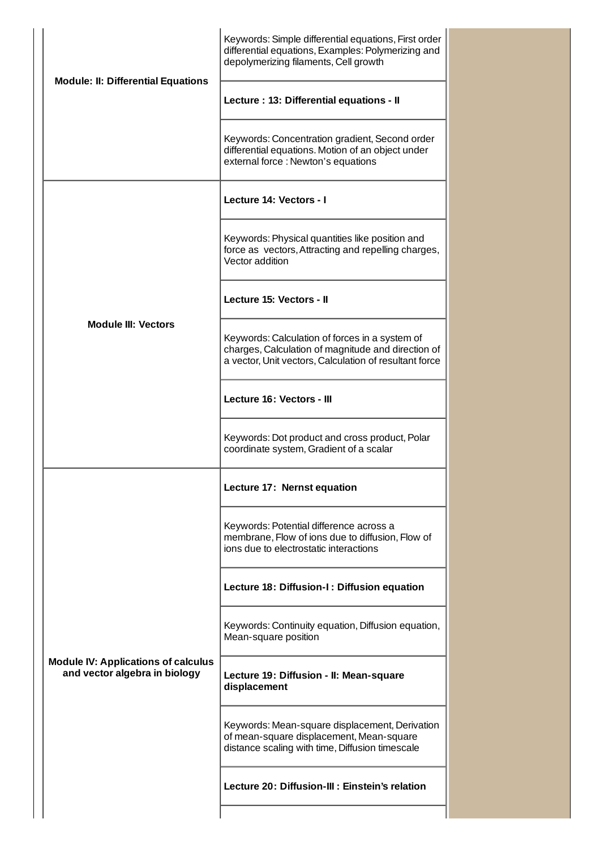| <b>Module: II: Differential Equations</b>                                   | Keywords: Simple differential equations, First order<br>differential equations, Examples: Polymerizing and<br>depolymerizing filaments, Cell growth            |
|-----------------------------------------------------------------------------|----------------------------------------------------------------------------------------------------------------------------------------------------------------|
|                                                                             | Lecture: 13: Differential equations - II                                                                                                                       |
|                                                                             | Keywords: Concentration gradient, Second order<br>differential equations. Motion of an object under<br>external force : Newton's equations                     |
|                                                                             | Lecture 14: Vectors - I                                                                                                                                        |
|                                                                             | Keywords: Physical quantities like position and<br>force as vectors, Attracting and repelling charges,<br>Vector addition                                      |
|                                                                             | Lecture 15: Vectors - II                                                                                                                                       |
| <b>Module III: Vectors</b>                                                  | Keywords: Calculation of forces in a system of<br>charges, Calculation of magnitude and direction of<br>a vector, Unit vectors, Calculation of resultant force |
|                                                                             | Lecture 16: Vectors - III                                                                                                                                      |
|                                                                             | Keywords: Dot product and cross product, Polar<br>coordinate system, Gradient of a scalar                                                                      |
| <b>Module IV: Applications of calculus</b><br>and vector algebra in biology | Lecture 17: Nernst equation                                                                                                                                    |
|                                                                             | Keywords: Potential difference across a<br>membrane, Flow of ions due to diffusion, Flow of<br>ions due to electrostatic interactions                          |
|                                                                             | Lecture 18: Diffusion-I: Diffusion equation                                                                                                                    |
|                                                                             | Keywords: Continuity equation, Diffusion equation,<br>Mean-square position                                                                                     |
|                                                                             | Lecture 19: Diffusion - II: Mean-square<br>displacement                                                                                                        |
|                                                                             | Keywords: Mean-square displacement, Derivation<br>of mean-square displacement, Mean-square<br>distance scaling with time, Diffusion timescale                  |
|                                                                             | Lecture 20: Diffusion-III: Einstein's relation                                                                                                                 |
|                                                                             |                                                                                                                                                                |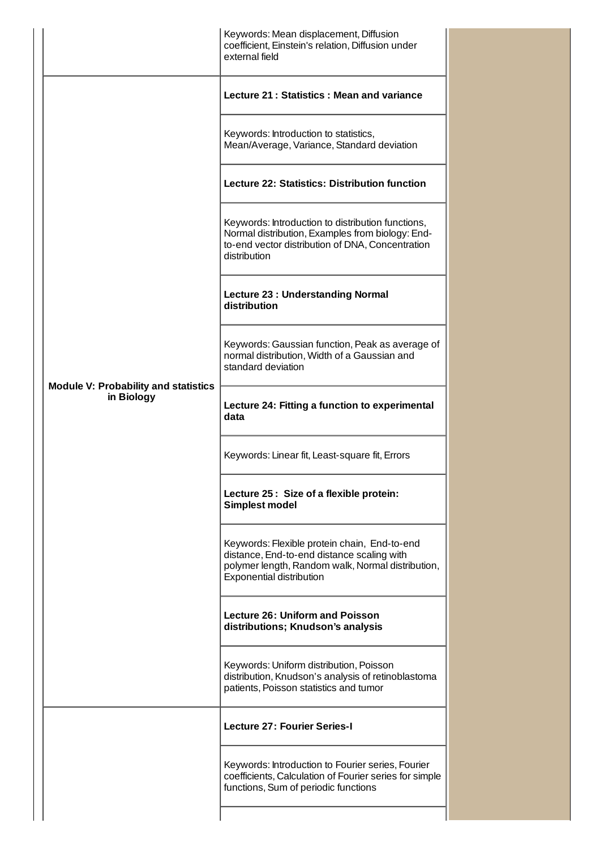|                                                           | Keywords: Mean displacement, Diffusion<br>coefficient, Einstein's relation, Diffusion under<br>external field                                                               |
|-----------------------------------------------------------|-----------------------------------------------------------------------------------------------------------------------------------------------------------------------------|
| <b>Module V: Probability and statistics</b><br>in Biology | Lecture 21: Statistics: Mean and variance                                                                                                                                   |
|                                                           | Keywords: Introduction to statistics,<br>Mean/Average, Variance, Standard deviation                                                                                         |
|                                                           | <b>Lecture 22: Statistics: Distribution function</b>                                                                                                                        |
|                                                           | Keywords: Introduction to distribution functions,<br>Normal distribution, Examples from biology: End-<br>to-end vector distribution of DNA, Concentration<br>distribution   |
|                                                           | <b>Lecture 23: Understanding Normal</b><br>distribution                                                                                                                     |
|                                                           | Keywords: Gaussian function, Peak as average of<br>normal distribution, Width of a Gaussian and<br>standard deviation                                                       |
|                                                           | Lecture 24: Fitting a function to experimental<br>data                                                                                                                      |
|                                                           | Keywords: Linear fit, Least-square fit, Errors                                                                                                                              |
|                                                           | Lecture 25: Size of a flexible protein:<br><b>Simplest model</b>                                                                                                            |
|                                                           | Keywords: Flexible protein chain, End-to-end<br>distance, End-to-end distance scaling with<br>polymer length, Random walk, Normal distribution,<br>Exponential distribution |
|                                                           | <b>Lecture 26: Uniform and Poisson</b><br>distributions; Knudson's analysis                                                                                                 |
|                                                           | Keywords: Uniform distribution, Poisson<br>distribution, Knudson's analysis of retinoblastoma<br>patients, Poisson statistics and tumor                                     |
|                                                           | <b>Lecture 27: Fourier Series-I</b>                                                                                                                                         |
|                                                           | Keywords: Introduction to Fourier series, Fourier<br>coefficients, Calculation of Fourier series for simple<br>functions, Sum of periodic functions                         |
|                                                           |                                                                                                                                                                             |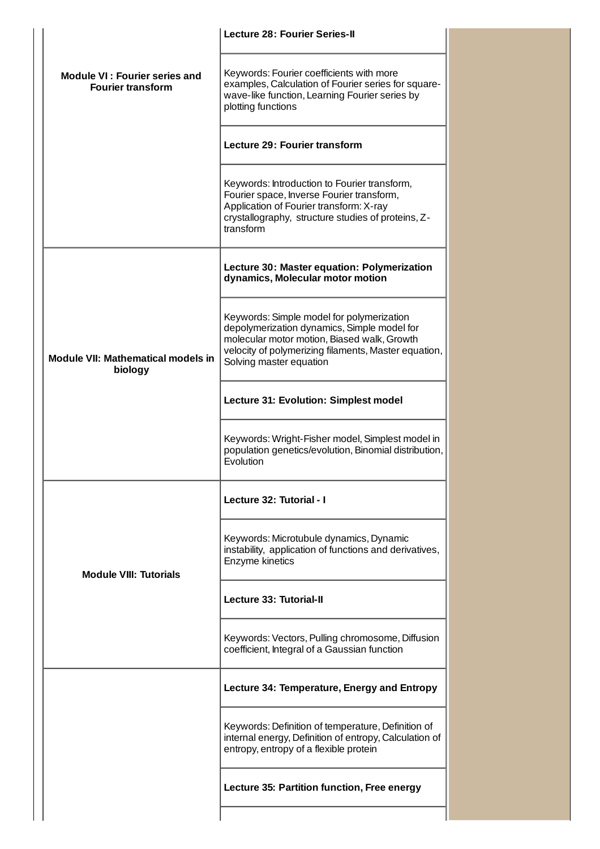|                                                                  | <b>Lecture 28: Fourier Series-II</b>                                                                                                                                                                                       |
|------------------------------------------------------------------|----------------------------------------------------------------------------------------------------------------------------------------------------------------------------------------------------------------------------|
| <b>Module VI: Fourier series and</b><br><b>Fourier transform</b> | Keywords: Fourier coefficients with more<br>examples, Calculation of Fourier series for square-<br>wave-like function, Learning Fourier series by<br>plotting functions                                                    |
|                                                                  | <b>Lecture 29: Fourier transform</b>                                                                                                                                                                                       |
|                                                                  | Keywords: Introduction to Fourier transform,<br>Fourier space, Inverse Fourier transform,<br>Application of Fourier transform: X-ray<br>crystallography, structure studies of proteins, Z-<br>transform                    |
|                                                                  | Lecture 30: Master equation: Polymerization<br>dynamics, Molecular motor motion                                                                                                                                            |
| Module VII: Mathematical models in<br>biology                    | Keywords: Simple model for polymerization<br>depolymerization dynamics, Simple model for<br>molecular motor motion, Biased walk, Growth<br>velocity of polymerizing filaments, Master equation,<br>Solving master equation |
|                                                                  | Lecture 31: Evolution: Simplest model                                                                                                                                                                                      |
|                                                                  | Keywords: Wright-Fisher model, Simplest model in<br>population genetics/evolution, Binomial distribution,<br><b>Fyolution</b>                                                                                              |
| <b>Module VIII: Tutorials</b>                                    | Lecture 32: Tutorial - I                                                                                                                                                                                                   |
|                                                                  | Keywords: Microtubule dynamics, Dynamic<br>instability, application of functions and derivatives,<br>Enzyme kinetics                                                                                                       |
|                                                                  | Lecture 33: Tutorial-II                                                                                                                                                                                                    |
|                                                                  | Keywords: Vectors, Pulling chromosome, Diffusion<br>coefficient, Integral of a Gaussian function                                                                                                                           |
|                                                                  | Lecture 34: Temperature, Energy and Entropy                                                                                                                                                                                |
|                                                                  | Keywords: Definition of temperature, Definition of<br>internal energy, Definition of entropy, Calculation of<br>entropy, entropy of a flexible protein                                                                     |
|                                                                  | Lecture 35: Partition function, Free energy                                                                                                                                                                                |
|                                                                  |                                                                                                                                                                                                                            |